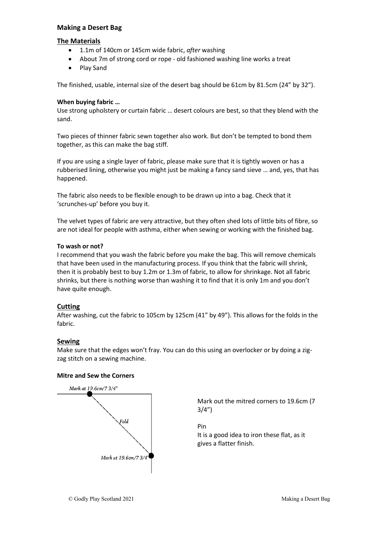## **Making a Desert Bag**

### **The Materials**

- 1.1m of 140cm or 145cm wide fabric, *after* washing
- About 7m of strong cord or rope old fashioned washing line works a treat
- Play Sand

The finished, usable, internal size of the desert bag should be 61cm by 81.5cm (24" by 32").

### **When buying fabric …**

Use strong upholstery or curtain fabric … desert colours are best, so that they blend with the sand.

Two pieces of thinner fabric sewn together also work. But don't be tempted to bond them together, as this can make the bag stiff.

If you are using a single layer of fabric, please make sure that it is tightly woven or has a rubberised lining, otherwise you might just be making a fancy sand sieve … and, yes, that has happened.

The fabric also needs to be flexible enough to be drawn up into a bag. Check that it 'scrunches-up' before you buy it.

The velvet types of fabric are very attractive, but they often shed lots of little bits of fibre, so are not ideal for people with asthma, either when sewing or working with the finished bag.

#### **To wash or not?**

I recommend that you wash the fabric before you make the bag. This will remove chemicals that have been used in the manufacturing process. If you think that the fabric will shrink, then it is probably best to buy 1.2m or 1.3m of fabric, to allow for shrinkage. Not all fabric shrinks, but there is nothing worse than washing it to find that it is only 1m and you don't have quite enough.

## **Cutting**

After washing, cut the fabric to 105cm by 125cm (41" by 49"). This allows for the folds in the fabric.

## **Sewing**

Make sure that the edges won't fray. You can do this using an overlocker or by doing a zigzag stitch on a sewing machine.

#### **Mitre and Sew the Corners**



Mark out the mitred corners to 19.6cm (7 3/4")

Pin It is a good idea to iron these flat, as it gives a flatter finish.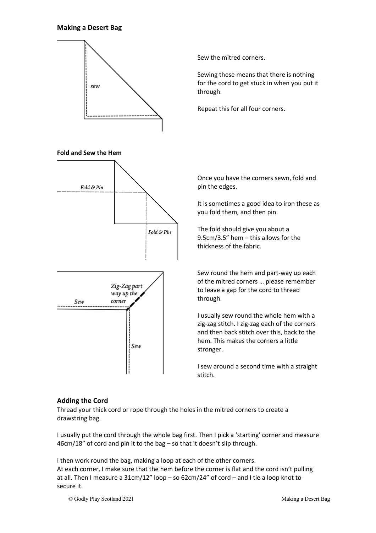#### **Making a Desert Bag**



Sew the mitred corners.

Sewing these means that there is nothing for the cord to get stuck in when you put it through.

Repeat this for all four corners.

Once you have the corners sewn, fold and pin the edges.

It is sometimes a good idea to iron these as you fold them, and then pin.

The fold should give you about a 9.5cm/3.5" hem – this allows for the thickness of the fabric.

Sew round the hem and part-way up each of the mitred corners … please remember to leave a gap for the cord to thread through.

I usually sew round the whole hem with a zig-zag stitch. I zig-zag each of the corners and then back stitch over this, back to the hem. This makes the corners a little stronger.

I sew around a second time with a straight stitch.

## **Adding the Cord**

Thread your thick cord or rope through the holes in the mitred corners to create a drawstring bag.

I usually put the cord through the whole bag first. Then I pick a 'starting' corner and measure 46cm/18" of cord and pin it to the bag – so that it doesn't slip through.

I then work round the bag, making a loop at each of the other corners. At each corner, I make sure that the hem before the corner is flat and the cord isn't pulling at all. Then I measure a 31cm/12" loop – so 62cm/24" of cord – and I tie a loop knot to secure it.

© Godly Play Scotland 2021 Making a Desert Bag